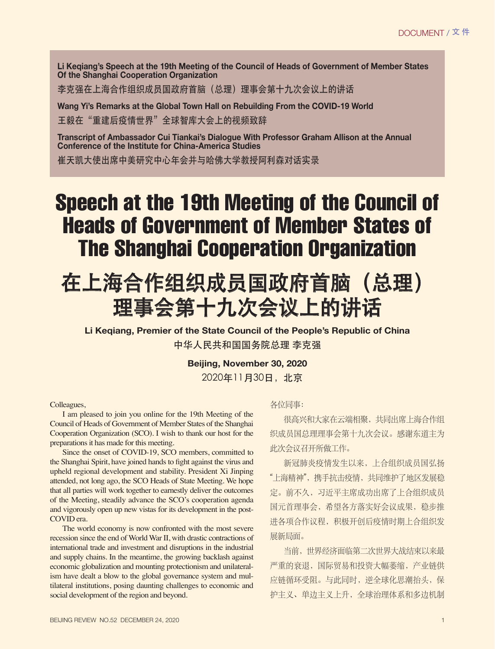**Li Keqiang's Speech at the 19th Meeting of the Council of Heads of Government of Member States Of the Shanghai Cooperation Organization**

李克强在上海合作组织成员国政府首脑(总理)理事会第十九次会议上的讲话

**Wang Yi's Remarks at the Global Town Hall on Rebuilding From the COVID-19 World** 王毅在"重建后疫情世界"全球智库大会上的视频致辞

**Transcript of Ambassador Cui Tiankai's Dialogue With Professor Graham Allison at the Annual Conference of the Institute for China-America Studies**

崔天凯大使出席中美研究中心年会并与哈佛大学教授阿利森对话实录

## Speech at the 19th Meeting of the Council of Heads of Government of Member States of The Shanghai Cooperation Organization

## 在上海合作组织成员国政府首脑(总理) 理事会第十九次会议上的讲话

**Li Keqiang, Premier of the State Council of the People's Republic of China**  中华人民共和国国务院总理 李克强

**Beijing, November 30, 2020**

2020年11月30日, 北京

## Colleagues,

I am pleased to join you online for the 19th Meeting of the Council of Heads of Government of Member States of the Shanghai Cooperation Organization (SCO). I wish to thank our host for the preparations it has made for this meeting.

Since the onset of COVID-19, SCO members, committed to the Shanghai Spirit, have joined hands to fight against the virus and upheld regional development and stability. President Xi Jinping attended, not long ago, the SCO Heads of State Meeting. We hope that all parties will work together to earnestly deliver the outcomes of the Meeting, steadily advance the SCO's cooperation agenda and vigorously open up new vistas for its development in the post-COVID era.

The world economy is now confronted with the most severe recession since the end of World War II, with drastic contractions of international trade and investment and disruptions in the industrial and supply chains. In the meantime, the growing backlash against economic globalization and mounting protectionism and unilateralism have dealt a blow to the global governance system and multilateral institutions, posing daunting challenges to economic and social development of the region and beyond.

各位同事:

很高兴和大家在云端相聚,共同出席上海合作组 织成员国总理理事会第十九次会议。感谢东道主为 此次会议召开所做工作。

新冠肺炎疫情发生以来,上合组织成员国弘扬 "上海精神", 携手抗击疫情, 共同维护了地区发展稳 定。前不久, 习近平主席成功出席了上合组织成员 国元首理事会, 希望各方落实好会议成果, 稳步推 进各项合作议程, 积极开创后疫情时期上合组织发 展新局面。

当前,世界经济面临第二次世界大战结束以来最 严重的衰退, 国际贸易和投资大幅萎缩, 产业链供 应链循环受阻。与此同时, 逆全球化思潮抬头, 保 护主义、单边主义上升、全球治理体系和多边机制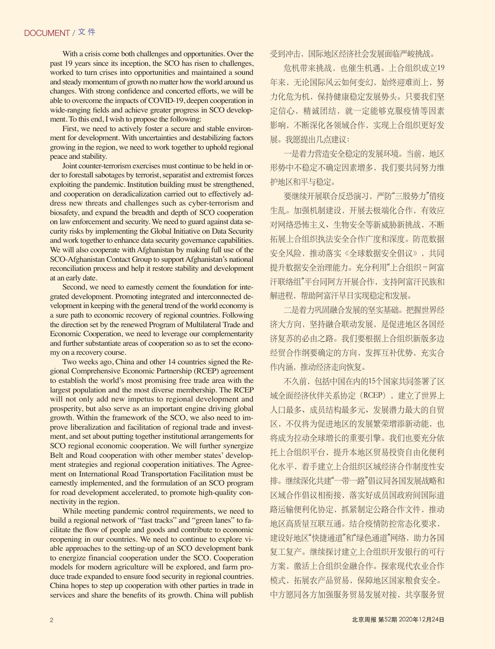With a crisis come both challenges and opportunities. Over the past 19 years since its inception, the SCO has risen to challenges, worked to turn crises into opportunities and maintained a sound and steady momentum of growth no matter how the world around us changes. With strong confidence and concerted efforts, we will be able to overcome the impacts of COVID-19, deepen cooperation in wide-ranging fields and achieve greater progress in SCO development. To this end, I wish to propose the following:

First, we need to actively foster a secure and stable environment for development. With uncertainties and destabilizing factors growing in the region, we need to work together to uphold regional peace and stability.

Joint counter-terrorism exercises must continue to be held in order to forestall sabotages by terrorist, separatist and extremist forces exploiting the pandemic. Institution building must be strengthened, and cooperation on deradicalization carried out to effectively address new threats and challenges such as cyber-terrorism and biosafety, and expand the breadth and depth of SCO cooperation on law enforcement and security. We need to guard against data security risks by implementing the Global Initiative on Data Security and work together to enhance data security governance capabilities. We will also cooperate with Afghanistan by making full use of the SCO-Afghanistan Contact Group to support Afghanistan's national reconciliation process and help it restore stability and development at an early date.

Second, we need to earnestly cement the foundation for integrated development. Promoting integrated and interconnected development in keeping with the general trend of the world economy is a sure path to economic recovery of regional countries. Following the direction set by the renewed Program of Multilateral Trade and Economic Cooperation, we need to leverage our complementarity and further substantiate areas of cooperation so as to set the economy on a recovery course.

Two weeks ago, China and other 14 countries signed the Regional Comprehensive Economic Partnership (RCEP) agreement to establish the world's most promising free trade area with the largest population and the most diverse membership. The RCEP will not only add new impetus to regional development and prosperity, but also serve as an important engine driving global growth. Within the framework of the SCO, we also need to improve liberalization and facilitation of regional trade and investment, and set about putting together institutional arrangements for SCO regional economic cooperation. We will further synergize Belt and Road cooperation with other member states' development strategies and regional cooperation initiatives. The Agreement on International Road Transportation Facilitation must be earnestly implemented, and the formulation of an SCO program for road development accelerated, to promote high-quality connectivity in the region.

While meeting pandemic control requirements, we need to build a regional network of "fast tracks" and "green lanes" to facilitate the flow of people and goods and contribute to economic reopening in our countries. We need to continue to explore viable approaches to the setting-up of an SCO development bank to energize financial cooperation under the SCO. Cooperation models for modern agriculture will be explored, and farm produce trade expanded to ensure food security in regional countries. China hopes to step up cooperation with other parties in trade in services and share the benefits of its growth. China will publish 受到冲击,国际地区经济社会发展面临严峻挑战。

危机带来挑战, 也催生机遇。上合组织成立19 年来,无论国际风云如何变幻,始终迎难而上,努 力化危为机, 保持健康稳定发展势头。只要我们坚 定信心, 精诚团结, 就一定能够克服疫情等因素 影响, 不断深化各领域合作, 实现上合组织更好发 展。我愿提出几点建议:

一是着力营造安全稳定的发展环境。当前, 地区 形势中不稳定不确定因素增多,我们要共同努力维 护地区和平与稳定。

要继续开展联合反恐演习,严防"三股势力"借疫 生乱。加强机制建设,开展去极端化合作,有效应 对网络恐怖主义、生物安全等新威胁新挑战,不断 拓展上合组织执法安全合作广度和深度。防范数据 安全风险, 推动落实《全球数据安全倡议》, 共同 提升数据安全治理能力。充分利用"上合组织-阿富 汗联络组"平台同阿方开展合作, 支持阿富汗民族和 解进程,帮助阿富汗早日实现稳定和发展。

二是着力巩固融合发展的坚实基础。把握世界经 济大方向, 坚持融合联动发展, 是促进地区各国经 济复苏的必由之路。我们要根据上合组织新版多边 经贸合作纲要确定的方向, 发挥互补优势, 充实合 作内涵, 推动经济走向恢复。

不久前,包括中国在内的15个国家共同签署了区 域全面经济伙伴关系协定(RCEP), 建立了世界上 人口最多、成员结构最多元、发展潜力最大的自贸 区, 不仅将为促进地区的发展繁荣增添新动能, 也 将成为拉动全球增长的重要引擎。我们也要充分依 托上合组织平台, 提升本地区贸易投资自由化便利 化水平, 着手建立上合组织区域经济合作制度性安 排。继续深化共建"一带一路"倡议同各国发展战略和 区域合作倡议相衔接, 落实好成员国政府间国际道 路运输便利化协定, 抓紧制定公路合作文件, 推动 地区高质量互联互通。结合疫情防控常态化要求, 建设好地区"快捷通道"和"绿色通道"网络, 助力各国 复工复产。继续探讨建立上合组织开发银行的可行 方案, 激活上合组织金融合作。探索现代农业合作 模式,拓展农产品贸易,保障地区国家粮食安全。 中方愿同各方加强服务贸易发展对接, 共享服务贸